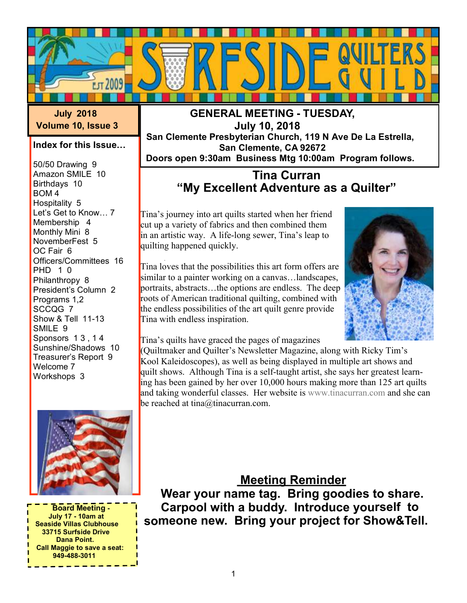

 **July 2018 Volume 10, Issue 3**

### **Index for this Issue…**

50/50 Drawing 9 Amazon SMILE 10 Birthdays 10 BOM 4 Hospitality 5 Let's Get to Know… 7 Membership 4 Monthly Mini 8 NovemberFest 5 OC Fair 6 Officers/Committees 16 PHD 1 0 Philanthropy 8 President's Column 2 Programs 1,2 SCCQG 7 Show & Tell 11-13 SMILE 9 Sponsors 1 3 , 1 4 Sunshine/Shadows 10 Treasurer's Report 9 Welcome 7 Workshops 3



 **Board Meeting - July 17 - 10am at Seaside Villas Clubhouse 33715 Surfside Drive Dana Point. Call Maggie to save a seat: 949-488-3011**

### **GENERAL MEETING - TUESDAY, July 10, 2018 San Clemente Presbyterian Church, 119 N Ave De La Estrella, San Clemente, CA 92672 Doors open 9:30am Business Mtg 10:00am Program follows.**

### **Tina Curran "My Excellent Adventure as a Quilter"**

Tina's journey into art quilts started when her friend cut up a variety of fabrics and then combined them in an artistic way. A life-long sewer, Tina's leap to quilting happened quickly.

Tina loves that the possibilities this art form offers are similar to a painter working on a canvas…landscapes, portraits, abstracts…the options are endless. The deep roots of American traditional quilting, combined with the endless possibilities of the art quilt genre provide Tina with endless inspiration.



Tina's quilts have graced the pages of magazines

(Quiltmaker and Quilter's Newsletter Magazine, along with Ricky Tim's Kool Kaleidoscopes), as well as being displayed in multiple art shows and quilt shows. Although Tina is a self-taught artist, she says her greatest learning has been gained by her over 10,000 hours making more than 125 art quilts and taking wonderful classes. Her website is [www.tinacurran.com](www.tinecurran.com) and she can be reached at tina@tinacurran.com.

### **Meeting Reminder**

 **Wear your name tag. Bring goodies to share. Carpool with a buddy. Introduce yourself to someone new. Bring your project for Show&Tell.**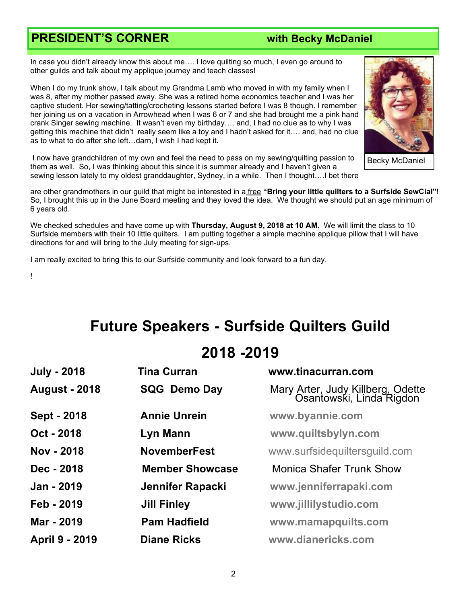## **PRESIDENT'S CORNER with Becky McDaniel**

In case you didn't already know this about me…. I love quilting so much, I even go around to other guilds and talk about my applique journey and teach classes!

When I do my trunk show, I talk about my Grandma Lamb who moved in with my family when I was 8, after my mother passed away. She was a retired home economics teacher and I was her captive student. Her sewing/tatting/crocheting lessons started before I was 8 though. I remember her joining us on a vacation in Arrowhead when I was 6 or 7 and she had brought me a pink hand crank Singer sewing machine. It wasn't even my birthday…. and, I had no clue as to why I was getting this machine that didn't really seem like a toy and I hadn't asked for it…. and, had no clue as to what to do after she left…darn, I wish I had kept it.



Becky McDaniel

 I now have grandchildren of my own and feel the need to pass on my sewing/quilting passion to them as well. So, I was thinking about this since it is summer already and I haven't given a sewing lesson lately to my oldest granddaughter, Sydney, in a while. Then I thought….I bet there

are other grandmothers in our guild that might be interested in a free **"Bring your little quilters to a Surfside SewCial"**! So, I brought this up in the June Board meeting and they loved the idea. We thought we should put an age minimum of 6 years old.

We checked schedules and have come up with **Thursday, August 9, 2018 at 10 AM.** We will limit the class to 10 Surfside members with their 10 little quilters. I am putting together a simple machine applique pillow that I will have directions for and will bring to the July meeting for sign-ups.

I am really excited to bring this to our Surfside community and look forward to a fun day.

!

# **Future Speakers - Surfside Quilters Guild**

# **2018 -2019**

| <b>July - 2018</b>    | <b>Tina Curran</b>      | www.tinacurran.com                                            |  |
|-----------------------|-------------------------|---------------------------------------------------------------|--|
| <b>August - 2018</b>  | <b>SQG Demo Day</b>     | Mary Arter, Judy Killberg, Odette<br>Osantowski, Linda Rigdon |  |
| Sept - 2018           | <b>Annie Unrein</b>     | www.byannie.com                                               |  |
| Oct - 2018            | Lyn Mann                | www.quiltsbylyn.com                                           |  |
| Nov - 2018            | <b>NovemberFest</b>     | www.surfsidequiltersguild.com                                 |  |
| Dec - 2018            | <b>Member Showcase</b>  | <b>Monica Shafer Trunk Show</b>                               |  |
| Jan - 2019            | <b>Jennifer Rapacki</b> | www.jenniferrapaki.com                                        |  |
| Feb - 2019            | <b>Jill Finley</b>      | www.jillilystudio.com                                         |  |
| Mar - 2019            | <b>Pam Hadfield</b>     | www.mamapquilts.com                                           |  |
| <b>April 9 - 2019</b> | <b>Diane Ricks</b>      | www.dianericks.com                                            |  |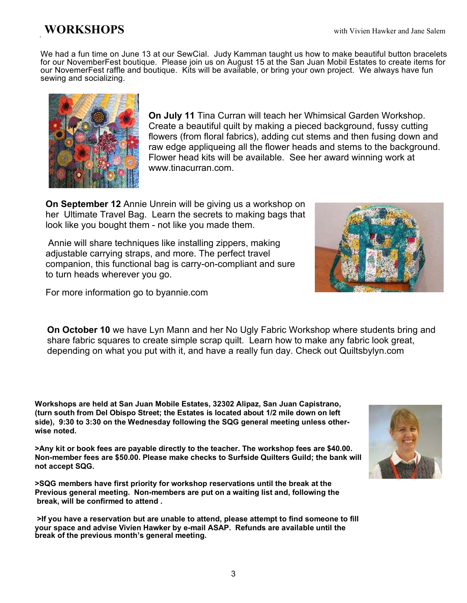We had a fun time on June 13 at our SewCial. Judy Kamman taught us how to make beautiful button bracelets for our NovemberFest boutique. Please join us on August 15 at the San Juan Mobil Estates to create items for our NovemerFest raffle and boutique. Kits will be available, or bring your own project. We always have fun sewing and socializing.



**On July 11** Tina Curran will teach her Whimsical Garden Workshop. Create a beautiful quilt by making a pieced background, fussy cutting flowers (from floral fabrics), adding cut stems and then fusing down and raw edge appliqueing all the flower heads and stems to the background. Flower head kits will be available. See her award winning work at www.tinacurran.com.

**On September 12** Annie Unrein will be giving us a workshop on her Ultimate Travel Bag. Learn the secrets to making bags that look like you bought them - not like you made them.

 Annie will share techniques like installing zippers, making adjustable carrying straps, and more. The perfect travel companion, this functional bag is carry-on-compliant and sure to turn heads wherever you go.



**On October 10** we have Lyn Mann and her No Ugly Fabric Workshop where students bring and share fabric squares to create simple scrap quilt. Learn how to make any fabric look great, depending on what you put with it, and have a really fun day. Check out Quiltsbylyn.com

**Workshops are held at San Juan Mobile Estates, 32302 Alipaz, San Juan Capistrano, (turn south from Del Obispo Street; the Estates is located about 1/2 mile down on left side), 9:30 to 3:30 on the Wednesday following the SQG general meeting unless otherwise noted.**

**>Any kit or book fees are payable directly to the teacher. The workshop fees are \$40.00. Non-member fees are \$50.00. Please make checks to Surfside Quilters Guild; the bank will not accept SQG.**

**>SQG members have first priority for workshop reservations until the break at the Previous general meeting. Non-members are put on a waiting list and, following the break, will be confirmed to attend .**

**>If you have a reservation but are unable to attend, please attempt to find someone to fill your space and advise Vivien Hawker by e-mail ASAP. Refunds are available until the break of the previous month's general meeting.**

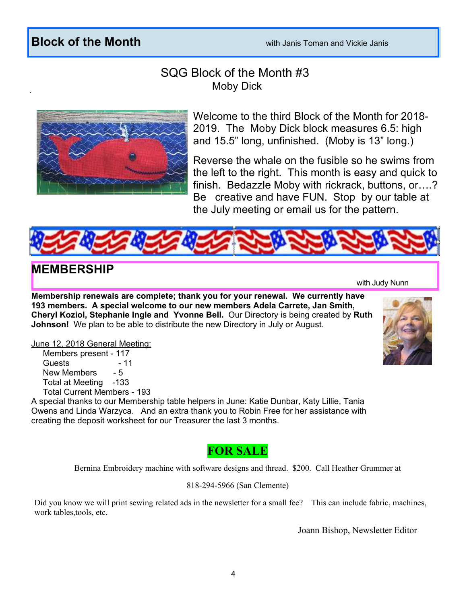## **Block of the Month Block of the Month with Janis Toman and Vickie Janis**

### SQG Block of the Month #3 Moby Dick



Welcome to the third Block of the Month for 2018- 2019. The Moby Dick block measures 6.5: high and 15.5" long, unfinished. (Moby is 13" long.)

Reverse the whale on the fusible so he swims from the left to the right. This month is easy and quick to finish. Bedazzle Moby with rickrack, buttons, or….? Be creative and have FUN. Stop by our table at the July meeting or email us for the pattern.



### **MEMBERSHIP**

with Judy Nunn

**Membership renewals are complete; thank you for your renewal. We currently have 193 members. A special welcome to our new members Adela Carrete, Jan Smith, Cheryl Koziol, Stephanie Ingle and Yvonne Bell.** Our Directory is being created by **Ruth Johnson!** We plan to be able to distribute the new Directory in July or August.

June 12, 2018 General Meeting:

 Members present - 117 Guests - 11 New Members - 5 Total at Meeting -133 Total Current Members - 193

A special thanks to our Membership table helpers in June: Katie Dunbar, Katy Lillie, Tania Owens and Linda Warzyca. And an extra thank you to Robin Free for her assistance with creating the deposit worksheet for our Treasurer the last 3 months.



Bernina Embroidery machine with software designs and thread. \$200. Call Heather Grummer at

818-294-5966 (San Clemente)

Did you know we will print sewing related ads in the newsletter for a small fee? This can include fabric, machines, work tables,tools, etc.

Joann Bishop, Newsletter Editor

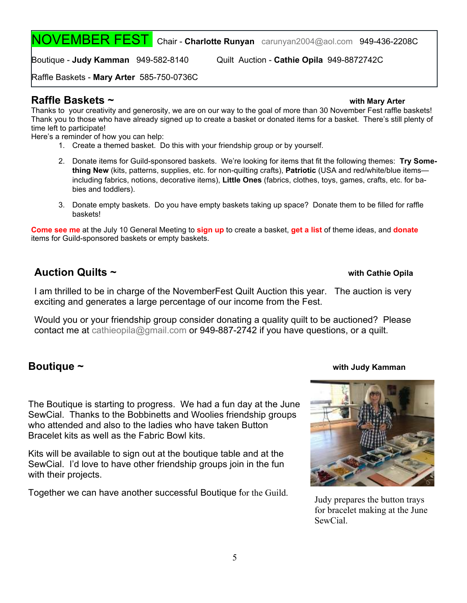NOVEMBER FEST Chair - **Charlotte Runyan** [carunyan2004@aol.com](mailto:carunyan2004@aol.com) 949-436-2208C

Boutique - **Judy Kamman** 949-582-8140 Quilt Auction - **Cathie Opila** 949-8872742C

Raffle Baskets - **Mary Arter** 585-750-0736C

### **Raffle Baskets ~ with Mary Arter**

Thanks to your creativity and generosity, we are on our way to the goal of more than 30 November Fest raffle baskets! Thank you to those who have already signed up to create a basket or donated items for a basket. There's still plenty of time left to participate!

Here's a reminder of how you can help:

- 1. Create a themed basket. Do this with your friendship group or by yourself.
- 2. Donate items for Guild-sponsored baskets. We're looking for items that fit the following themes: **Try Something New** (kits, patterns, supplies, etc. for non-quilting crafts), **Patriotic** (USA and red/white/blue items including fabrics, notions, decorative items), **Little Ones** (fabrics, clothes, toys, games, crafts, etc. for babies and toddlers).
- 3. Donate empty baskets. Do you have empty baskets taking up space? Donate them to be filled for raffle baskets!

**Come see me** at the July 10 General Meeting to **sign up** to create a basket, **get a list** of theme ideas, and **donate** items for Guild-sponsored baskets or empty baskets.

### **Auction Quilts ~ with Cathie Opila**

I am thrilled to be in charge of the NovemberFest Quilt Auction this year. The auction is very exciting and generates a large percentage of our income from the Fest.

Would you or your friendship group consider donating a quality quilt to be auctioned? Please contact me a[t cathieopila@gmail.com](mailto:cathieopila@gmail.com) or 949-887-2742 if you have questions, or a quilt.

The Boutique is starting to progress. We had a fun day at the June SewCial. Thanks to the Bobbinetts and Woolies friendship groups who attended and also to the ladies who have taken Button Bracelet kits as well as the Fabric Bowl kits.

Kits will be available to sign out at the boutique table and at the SewCial. I'd love to have other friendship groups join in the fun with their projects.

Together we can have another successful Boutique for the Guild.

### **Boutique ~ with Judy Kamman**



Judy prepares the button trays for bracelet making at the June SewCial.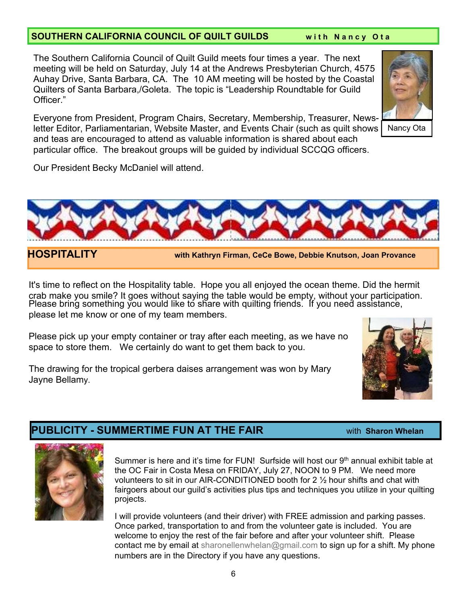### **SOUTHERN CALIFORNIA COUNCIL OF QUILT GUILDS** with Nancy Ota

The Southern California Council of Quilt Guild meets four times a year. The next meeting will be held on Saturday, July 14 at the Andrews Presbyterian Church, 4575 Auhay Drive, Santa Barbara, CA. The 10 AM meeting will be hosted by the Coastal Quilters of Santa Barbara,/Goleta. The topic is "Leadership Roundtable for Guild Officer."

Everyone from President, Program Chairs, Secretary, Membership, Treasurer, Newsletter Editor, Parliamentarian, Website Master, and Events Chair (such as quilt shows and teas are encouraged to attend as valuable information is shared about each particular office. The breakout groups will be guided by individual SCCQG officers.

Our President Becky McDaniel will attend.

It's time to reflect on the Hospitality table. Hope you all enjoyed the ocean theme. Did the hermit crab make you smile? It goes without saying the table would be empty, without your participation. Please bring something you would like to share with quilting friends. If you need assistance, please let me know or one of my team members.

Please pick up your empty container or tray after each meeting, as we have no space to store them. We certainly do want to get them back to you.

The drawing for the tropical gerbera daises arrangement was won by Mary Jayne Bellamy.

### **PUBLICITY - SUMMERTIME FUN AT THE FAIR EXAMPLE AT A SHARY WAS INTERNATED WITH Sharon Whelan**

Summer is here and it's time for FUN! Surfside will host our 9<sup>th</sup> annual exhibit table at the OC Fair in Costa Mesa on FRIDAY, July 27, NOON to 9 PM. We need more volunteers to sit in our AIR-CONDITIONED booth for 2 ½ hour shifts and chat with fairgoers about our guild's activities plus tips and techniques you utilize in your quilting projects.

I will provide volunteers (and their driver) with FREE admission and parking passes. Once parked, transportation to and from the volunteer gate is included. You are welcome to enjoy the rest of the fair before and after your volunteer shift. Please contact me by email at [sharonellenwhelan@gmail.com](mailto:sharonellenwhelan@gmail.com) to sign up for a shift. My phone numbers are in the Directory if you have any questions.







**HOSPITALITY with Kathryn Firman, CeCe Bowe, Debbie Knutson, Joan Provance**

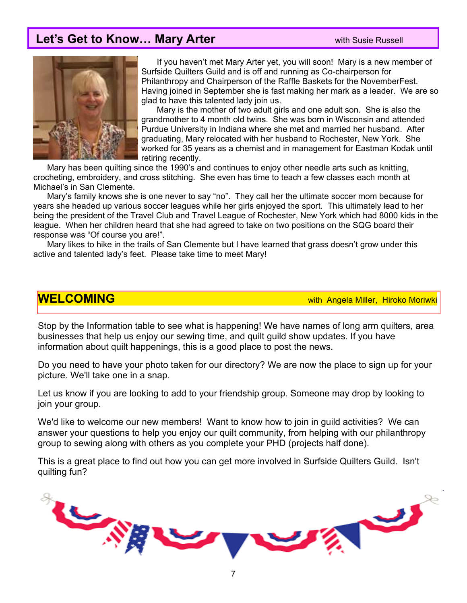## **Let's Get to Know... Mary Arter <b>With Susie Russell** With Susie Russell



 If you haven't met Mary Arter yet, you will soon! Mary is a new member of Surfside Quilters Guild and is off and running as Co-chairperson for Philanthropy and Chairperson of the Raffle Baskets for the NovemberFest. Having joined in September she is fast making her mark as a leader. We are so glad to have this talented lady join us.

 Mary is the mother of two adult girls and one adult son. She is also the grandmother to 4 month old twins. She was born in Wisconsin and attended Purdue University in Indiana where she met and married her husband. After graduating, Mary relocated with her husband to Rochester, New York. She worked for 35 years as a chemist and in management for Eastman Kodak until retiring recently.

 Mary has been quilting since the 1990's and continues to enjoy other needle arts such as knitting, crocheting, embroidery, and cross stitching. She even has time to teach a few classes each month at Michael's in San Clemente.

 Mary's family knows she is one never to say "no". They call her the ultimate soccer mom because for years she headed up various soccer leagues while her girls enjoyed the sport. This ultimately lead to her being the president of the Travel Club and Travel League of Rochester, New York which had 8000 kids in the league. When her children heard that she had agreed to take on two positions on the SQG board their response was "Of course you are!".

 Mary likes to hike in the trails of San Clemente but I have learned that grass doesn't grow under this active and talented lady's feet. Please take time to meet Mary!

**WELCOMING** with Angela Miller, Hiroko Moriwki

Stop by the Information table to see what is happening! We have names of long arm quilters, area businesses that help us enjoy our sewing time, and quilt guild show updates. If you have information about quilt happenings, this is a good place to post the news.

Do you need to have your photo taken for our directory? We are now the place to sign up for your picture. We'll take one in a snap.

Let us know if you are looking to add to your friendship group. Someone may drop by looking to join your group.

We'd like to welcome our new members! Want to know how to join in guild activities? We can answer your questions to help you enjoy our quilt community, from helping with our philanthropy group to sewing along with others as you complete your PHD (projects half done).

This is a great place to find out how you can get more involved in Surfside Quilters Guild. Isn't quilting fun?

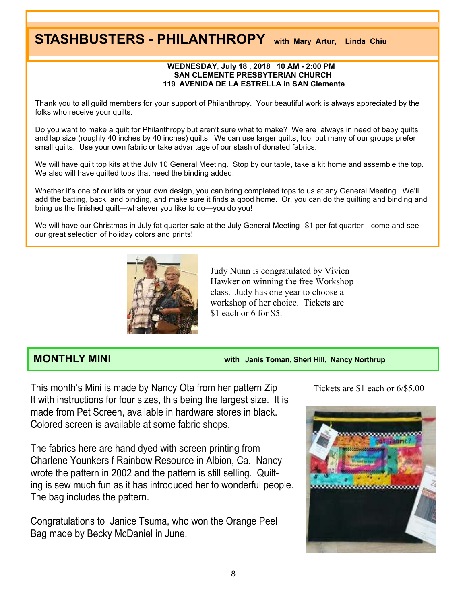# **STASHBUSTERS - PHILANTHROPY with Mary Artur, Linda Chiu**

### **WEDNESDAY**, **July 18 , 2018 10 AM - 2:00 PM SAN CLEMENTE PRESBYTERIAN CHURCH 119 AVENIDA DE LA ESTRELLA in SAN Clemente**

Thank you to all guild members for your support of Philanthropy. Your beautiful work is always appreciated by the folks who receive your quilts.

Do you want to make a quilt for Philanthropy but aren't sure what to make? We are always in need of baby quilts and lap size (roughly 40 inches by 40 inches) quilts. We can use larger quilts, too, but many of our groups prefer small quilts. Use your own fabric or take advantage of our stash of donated fabrics.

We will have quilt top kits at the July 10 General Meeting. Stop by our table, take a kit home and assemble the top. We also will have quilted tops that need the binding added.

Whether it's one of our kits or your own design, you can bring completed tops to us at any General Meeting. We'll add the batting, back, and binding, and make sure it finds a good home. Or, you can do the quilting and binding and bring us the finished quilt—whatever you like to do—you do you!

We will have our Christmas in July fat quarter sale at the July General Meeting--\$1 per fat quarter—come and see our great selection of holiday colors and prints!



Judy Nunn is congratulated by Vivien Hawker on winning the free Workshop class. Judy has one year to choose a workshop of her choice. Tickets are \$1 each or 6 for \$5.

**MONTHLY MINI with Janis Toman, Sheri Hill, Nancy Northrup**

This month's Mini is made by Nancy Ota from her pattern Zip It with instructions for four sizes, this being the largest size. It is made from Pet Screen, available in hardware stores in black. Colored screen is available at some fabric shops.

The fabrics here are hand dyed with screen printing from Charlene Younkers f Rainbow Resource in Albion, Ca. Nancy wrote the pattern in 2002 and the pattern is still selling. Quilting is sew much fun as it has introduced her to wonderful people. The bag includes the pattern.

Congratulations to Janice Tsuma, who won the Orange Peel Bag made by Becky McDaniel in June.

Tickets are \$1 each or 6/\$5.00

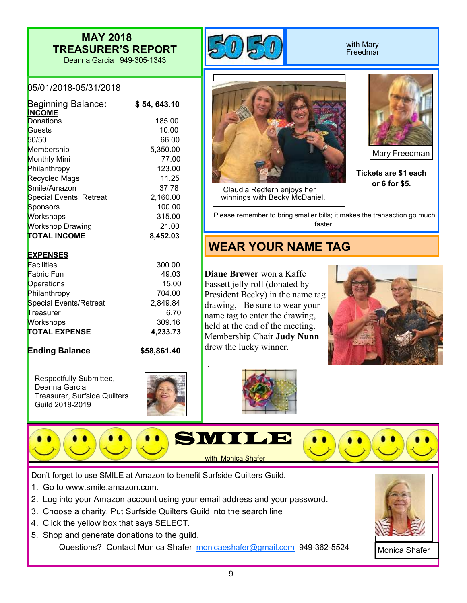## **MAY 2018 TREASURER'S REPORT**

Deanna Garcia 949-305-1343



### with Mary Freedman



| <b>Beginning Balance:</b><br><b>INCOME</b> | \$54,643.10 |
|--------------------------------------------|-------------|
| Donations                                  | 185.00      |
| Guests                                     | 10.00       |
| 50/50                                      | 66.00       |
| Membership                                 | 5,350.00    |
| <b>Monthly Mini</b>                        | 77.00       |
| Philanthropy                               | 123.00      |
| <b>Recycled Mags</b>                       | 11.25       |
| Smile/Amazon                               | 37.78       |
| <b>Special Events: Retreat</b>             | 2,160.00    |
| Sponsors                                   | 100.00      |
| Workshops                                  | 315.00      |
| <b>Workshop Drawing</b>                    | 21.00       |
| <b>TOTAL INCOME</b>                        | 8,452.03    |

### **EXPENSES**

| Facilities             | 300.00   |
|------------------------|----------|
| Fabric Fun             | 49.03    |
| <b>Operations</b>      | 15.00    |
| Philanthropy           | 704.00   |
| Special Events/Retreat | 2,849.84 |
| Treasurer              | 6.70     |
| <b>Workshops</b>       | 309.16   |
| <b>TOTAL EXPENSE</b>   | 4,233.73 |

**Ending Balance \$58,861.40**

Respectfully Submitted, Deanna Garcia Treasurer, Surfside Quilters Guild 2018-2019





 Claudia Redfern enjoys her winnings with Becky McDaniel.



Mary Freedman

**Tickets are \$1 each or 6 for \$5.**

Please remember to bring smaller bills; it makes the transaction go much faster.

## **WEAR YOUR NAME TAG**

**Diane Brewer** won a Kaffe Fassett jelly roll (donated by President Becky) in the name tag drawing, Be sure to wear your name tag to enter the drawing, held at the end of the meeting. Membership Chair **Judy Nunn** drew the lucky winner.







Don't forget to use SMILE at Amazon to benefit Surfside Quilters Guild.

- 1. Go to www.smile.amazon.com.
- 2. Log into your Amazon account using your email address and your password.
- 3. Choose a charity. Put Surfside Quilters Guild into the search line
- 4. Click the yellow box that says SELECT.
- 5. Shop and generate donations to the guild. Questions? Contact Monica Shafer monicaeshafer@gmail.com 949-362-5524



Monica Shafer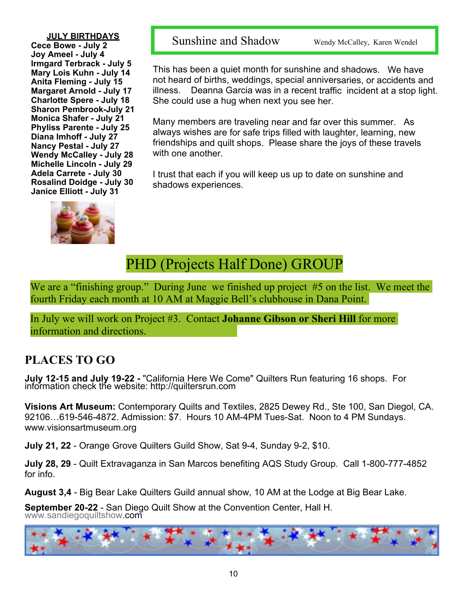**JULY BIRTHDAYS**

**Cece Bowe - July 2 Joy Ameel - July 4 Irmgard Terbrack - July 5 Mary Lois Kuhn - July 14 Anita Fleming - July 15 Margaret Arnold - July 17 Charlotte Spere - July 18 Sharon Pembrook-July 21 Monica Shafer - July 21 Phyliss Parente - July 25 Diana Imhoff - July 27 Nancy Pestal - July 27 Wendy McCalley - July 28 Michelle Lincoln - July 29 Adela Carrete - July 30 Rosalind Doidge - July 30 Janice Elliott - July 31**



Sunshine and Shadow Wendy McCalley, Karen Wendel

This has been a quiet month for sunshine and shadows. We have not heard of births, weddings, special anniversaries, or accidents and illness. Deanna Garcia was in a recent traffic incident at a stop light. She could use a hug when next you see her.

Many members are traveling near and far over this summer. As always wishes are for safe trips filled with laughter, learning, new friendships and quilt shops. Please share the joys of these travels with one another.

I trust that each if you will keep us up to date on sunshine and shadows experiences.

## PHD (Projects Half Done) GROUP

We are a "finishing group." During June we finished up project #5 on the list. We meet the fourth Friday each month at 10 AM at Maggie Bell's clubhouse in Dana Point.

In July we will work on Project #3. Contact **Johanne Gibson or Sheri Hill** for more information and directions.

## **PLACES TO GO**

**July 12-15 and July 19-22 -** "California Here We Come" Quilters Run featuring 16 shops. For information check the website: http://quiltersrun.com

**Visions Art Museum:** Contemporary Quilts and Textiles, 2825 Dewey Rd., Ste 100, San Diegol, CA. 92106…619-546-4872. Admission: \$7. Hours 10 AM-4PM Tues-Sat. Noon to 4 PM Sundays. www.visionsartmuseum.org

**July 21, 22** - Orange Grove Quilters Guild Show, Sat 9-4, Sunday 9-2, \$10.

**July 28, 29** - Quilt Extravaganza in San Marcos benefiting AQS Study Group. Call 1-800-777-4852 for info.

**August 3,4** - Big Bear Lake Quilters Guild annual show, 10 AM at the Lodge at Big Bear Lake.

**September 20-22** - San Diego Quilt Show at the Convention Center, Hall H[.](www.sandiegoquiltshow.com) [www.sandiegoquiltshow.](www.sandiegoquiltshow.com)com

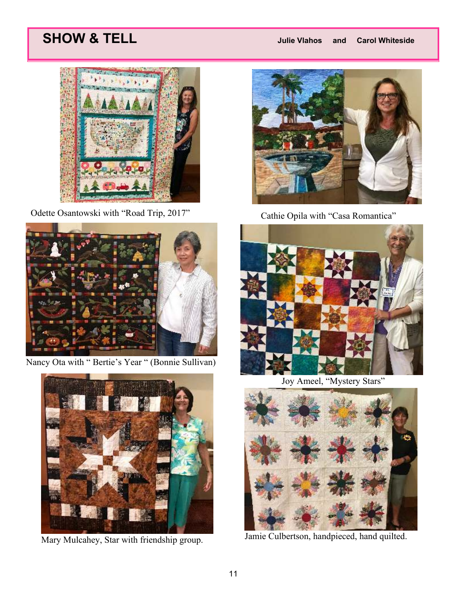# **SHOW & TELL** *Julie Vlahos and Carol Whiteside*



Odette Osantowski with "Road Trip, 2017" Cathie Opila with "Casa Romantica"



Nancy Ota with " Bertie's Year " (Bonnie Sullivan)







Joy Ameel, "Mystery Stars"



Mary Mulcahey, Star with friendship group. Jamie Culbertson, handpieced, hand quilted.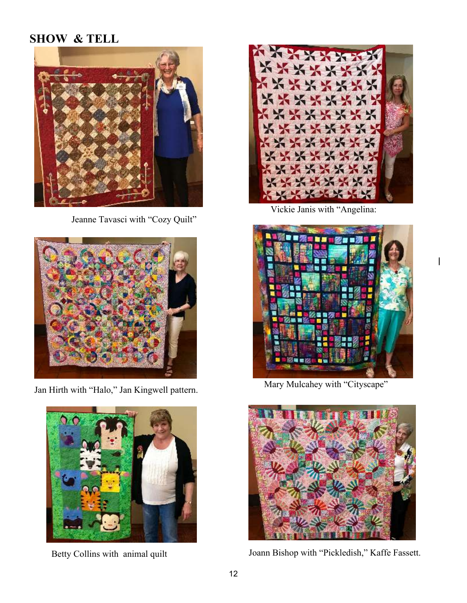## **SHOW & TELL**



Jeanne Tavasci with "Cozy Quilt"



Jan Hirth with "Halo," Jan Kingwell pattern. Mary Mulcahey with "Cityscape"





Vickie Janis with "Angelina:





Betty Collins with animal quilt Joann Bishop with "Pickledish," Kaffe Fassett.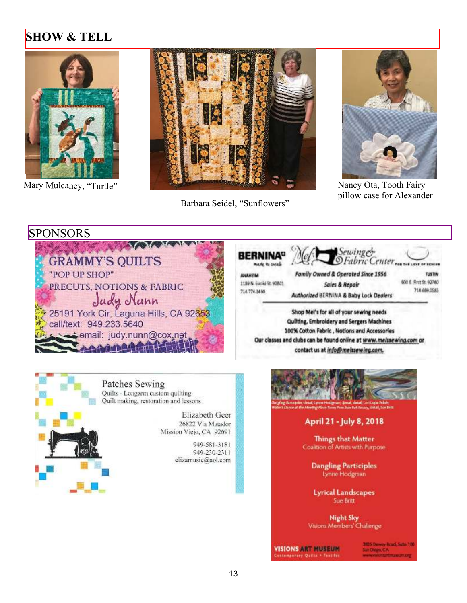## **SHOW & TELL**





Barbara Seidel, "Sunflowers"



pillow case for Alexander

### **SPONSORS**



made to creat ANAHEIM 1189 N. Euclid St. 92801 714.774.3460

**BERNINA<sup>0</sup>** 

Family Owned & Operated Since 1956 Sales & Repair Authorized BERNINA & Baby Lock Dealers

Sewing&<br>©Fabric Center

**WE LOVE OF SENING TUSTIN** 600 E. Rrst 5t. 92780 714 669 0583

Shop Mel's for all of your sewing needs Quilting, Embroidery and Sergers Machines 100% Cotton Fabric, Notions and Accessories Our classes and clubs can be found online at www.melssewing.com or contact us at info@melssewing.com.



Patches Sewing Quilts - Longarm custom quilting Quilt making, restoration and lessons

> Elizabeth Geer 26822 Via Matador Mission Viejo, CA 92691

> > 949-581-3181 949-230-2311 elizamusic@aol.com



### April 21 - July 8, 2018

**Things that Matter** Coalition of Artists with Purpose

> **Dangling Participles** Lynne Hodgman

**Lyrical Landscapes** Sue Britt

**Night Sky** Visions Members' Challenge

**VISIONS ART MUSEUM** Hourary Quilly + Tax

2025 Dewey Road, Suta 100 San Diego, C.A.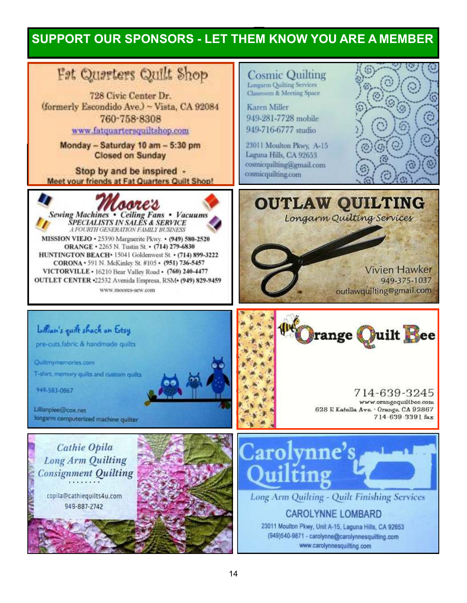## **SUPPORT OUR SPONSORS - LET THEM KNOW YOU ARE A MEMBER**

# Fet Questers Quilt Shop

728 Civic Center Dr. (formerly Escondido Ave.) - Vista, CA 92084 760-758-8308 www.fatguartersquiltshop.com

> Monday - Saturday 10 am - 5:30 pm **Closed on Sunday**

Stop by and be inspired -Meet your friends at Fat Quarters Quilt Shop!



www.moores-sew.com

**Cosmic Quilting** Longarm Quilting Services Classroom & Meeting Space

**Karen Miller** 949-281-7728 mobile 949-716-6777 studio

23011 Moulton Pkwy, A-15 Laguna Hills, CA 92653 cosmicquilting@gmail.com cosmicquilting.com



# **OUTLAW QUILTING**

Longarm Quilting Services

**Vivien Hawker** 949-375-1037 outlawquilting@gmail.com



714-639-3245 www.orangequiltbee.com 628 E Katella Ave. - Orange. CA 92867 714-639-3391 fax



pre-cuts, fabric & handmade quilts

Quiltmymemories.com

T-shirt, memory quits and custom quilts

949-583-0867

Lillianplee@cox.net longarm computerized machine quilter

Cathie Opila **Long Arm Quilting Consignment Quilting** 

> copila@cathiequilts4u.com 949-887-2742





Long Arm Quilting - Quilt Finishing Services

### **CAROLYNNE LOMBARD**

23011 Moulton Pkwy, Unit A-15, Laguna Hills, CA 92653 (949)540-9871 - carolynne@carolynnesquilting.com www.carolynnesquilting.com